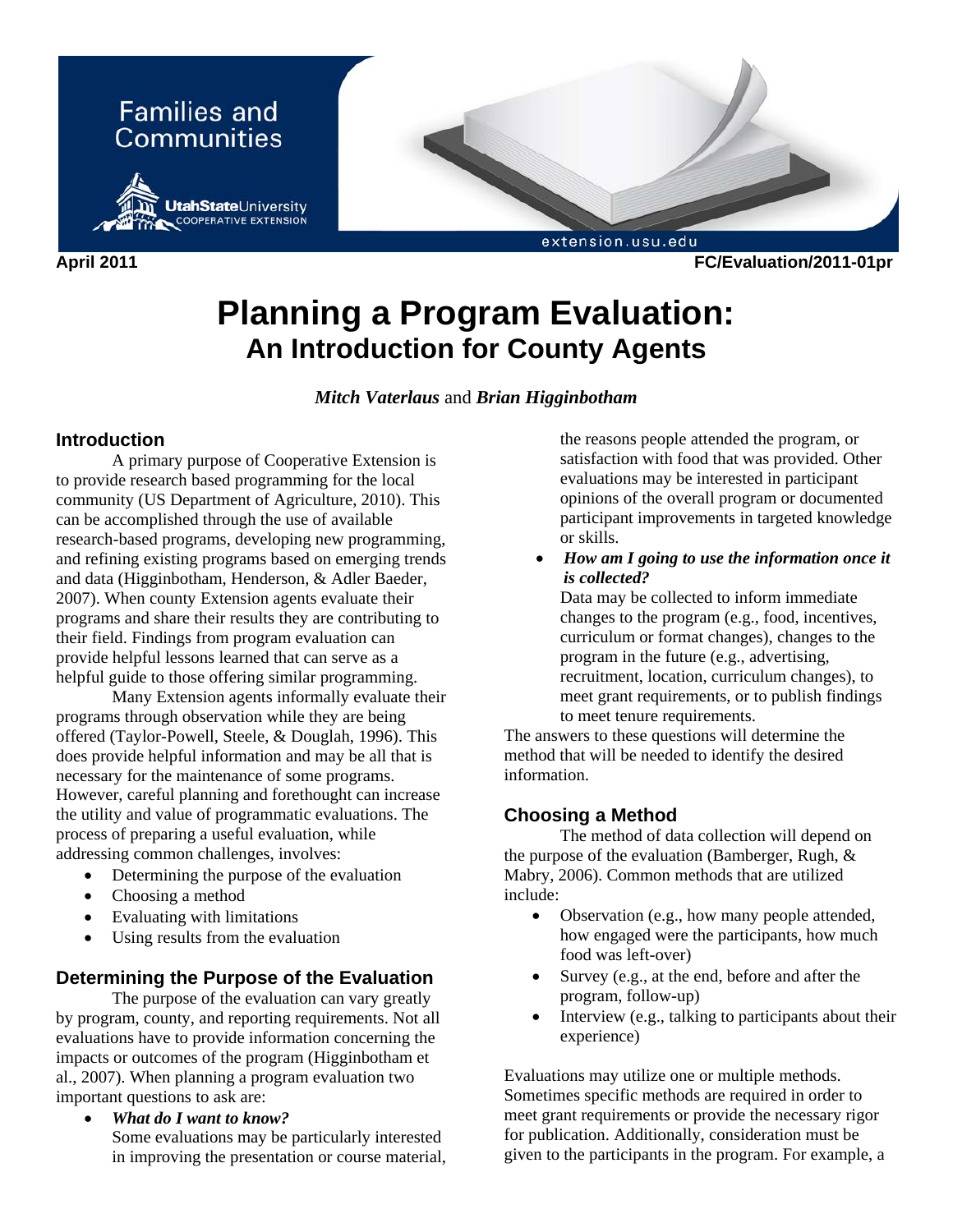

**Planning a Program Evaluation: An Introduction for County Agents** 

## *Mitch Vaterlaus* and *Brian Higginbotham*

## **Introduction**

 A primary purpose of Cooperative Extension is to provide research based programming for the local community (US Department of Agriculture, 2010). This can be accomplished through the use of available research-based programs, developing new programming, and refining existing programs based on emerging trends and data (Higginbotham, Henderson, & Adler Baeder, 2007). When county Extension agents evaluate their programs and share their results they are contributing to their field. Findings from program evaluation can provide helpful lessons learned that can serve as a helpful guide to those offering similar programming.

 Many Extension agents informally evaluate their programs through observation while they are being offered (Taylor-Powell, Steele, & Douglah, 1996). This does provide helpful information and may be all that is necessary for the maintenance of some programs. However, careful planning and forethought can increase the utility and value of programmatic evaluations. The process of preparing a useful evaluation, while addressing common challenges, involves:

- Determining the purpose of the evaluation
- Choosing a method
- Evaluating with limitations
- Using results from the evaluation

## **Determining the Purpose of the Evaluation**

 The purpose of the evaluation can vary greatly by program, county, and reporting requirements. Not all evaluations have to provide information concerning the impacts or outcomes of the program (Higginbotham et al., 2007). When planning a program evaluation two important questions to ask are:

• *What do I want to know?*  Some evaluations may be particularly interested in improving the presentation or course material, the reasons people attended the program, or satisfaction with food that was provided. Other evaluations may be interested in participant opinions of the overall program or documented participant improvements in targeted knowledge or skills.

• *How am I going to use the information once it is collected?* 

Data may be collected to inform immediate changes to the program (e.g., food, incentives, curriculum or format changes), changes to the program in the future (e.g., advertising, recruitment, location, curriculum changes), to meet grant requirements, or to publish findings to meet tenure requirements.

The answers to these questions will determine the method that will be needed to identify the desired information.

#### **Choosing a Method**

 The method of data collection will depend on the purpose of the evaluation (Bamberger, Rugh, & Mabry, 2006). Common methods that are utilized include:

- Observation (e.g., how many people attended, how engaged were the participants, how much food was left-over)
- Survey (e.g., at the end, before and after the program, follow-up)
- Interview (e.g., talking to participants about their experience)

Evaluations may utilize one or multiple methods. Sometimes specific methods are required in order to meet grant requirements or provide the necessary rigor for publication. Additionally, consideration must be given to the participants in the program. For example, a